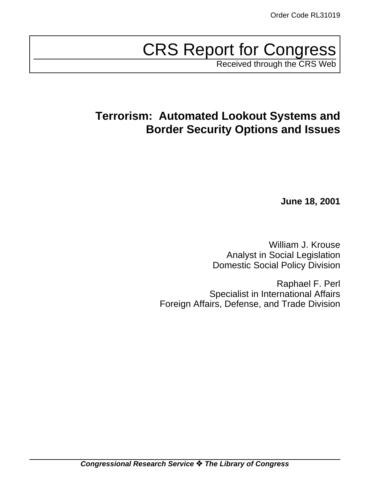# CRS Report for Congress

Received through the CRS Web

## **Terrorism: Automated Lookout Systems and Border Security Options and Issues**

**June 18, 2001**

William J. Krouse Analyst in Social Legislation Domestic Social Policy Division

Raphael F. Perl Specialist in International Affairs Foreign Affairs, Defense, and Trade Division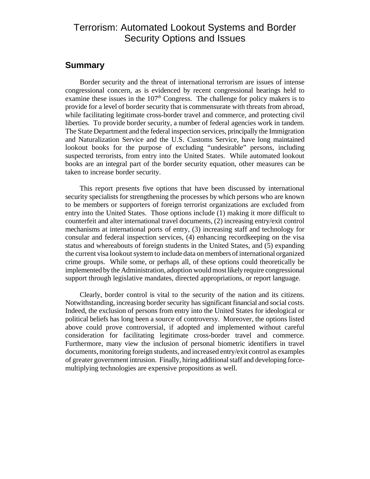## Terrorism: Automated Lookout Systems and Border Security Options and Issues

### **Summary**

Border security and the threat of international terrorism are issues of intense congressional concern, as is evidenced by recent congressional hearings held to examine these issues in the 107<sup>th</sup> Congress. The challenge for policy makers is to provide for a level of border security that is commensurate with threats from abroad, while facilitating legitimate cross-border travel and commerce, and protecting civil liberties. To provide border security, a number of federal agencies work in tandem. The State Department and the federal inspection services, principally the Immigration and Naturalization Service and the U.S. Customs Service, have long maintained lookout books for the purpose of excluding "undesirable" persons, including suspected terrorists, from entry into the United States. While automated lookout books are an integral part of the border security equation, other measures can be taken to increase border security.

This report presents five options that have been discussed by international security specialists for strengthening the processes by which persons who are known to be members or supporters of foreign terrorist organizations are excluded from entry into the United States. Those options include (1) making it more difficult to counterfeit and alter international travel documents, (2) increasing entry/exit control mechanisms at international ports of entry, (3) increasing staff and technology for consular and federal inspection services, (4) enhancing recordkeeping on the visa status and whereabouts of foreign students in the United States, and (5) expanding the current visa lookout system to include data on members of international organized crime groups. While some, or perhaps all, of these options could theoretically be implemented by the Administration, adoption wouldmostlikelyrequire congressional support through legislative mandates, directed appropriations, or report language.

Clearly, border control is vital to the security of the nation and its citizens. Notwithstanding, increasing border security has significant financial and social costs. Indeed, the exclusion of persons from entry into the United States for ideological or political beliefs has long been a source of controversy. Moreover, the options listed above could prove controversial, if adopted and implemented without careful consideration for facilitating legitimate cross-border travel and commerce. Furthermore, many view the inclusion of personal biometric identifiers in travel documents, monitoring foreign students, and increased entry/exit control as examples of greater government intrusion. Finally, hiring additional staff and developing forcemultiplying technologies are expensive propositions as well.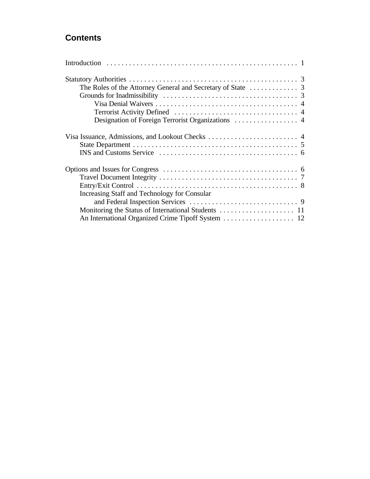## **Contents**

| Increasing Staff and Technology for Consular |  |
|----------------------------------------------|--|
|                                              |  |
|                                              |  |
|                                              |  |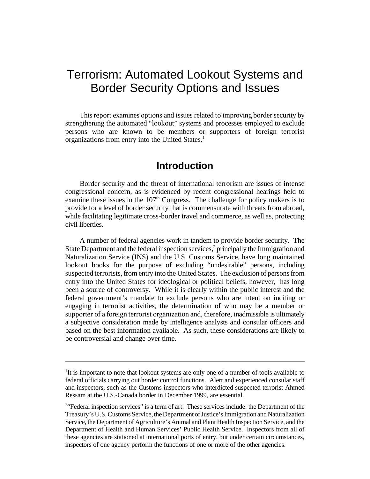## Terrorism: Automated Lookout Systems and Border Security Options and Issues

This report examines options and issues related to improving border security by strengthening the automated "lookout" systems and processes employed to exclude persons who are known to be members or supporters of foreign terrorist organizations from entry into the United States.<sup>1</sup>

## **Introduction**

Border security and the threat of international terrorism are issues of intense congressional concern, as is evidenced by recent congressional hearings held to examine these issues in the  $107<sup>th</sup>$  Congress. The challenge for policy makers is to provide for a level of border security that is commensurate with threats from abroad, while facilitating legitimate cross-border travel and commerce, as well as, protecting civil liberties.

A number of federal agencies work in tandem to provide border security. The State Department and the federal inspection services, $\frac{2}{3}$  principally the Immigration and Naturalization Service (INS) and the U.S. Customs Service, have long maintained lookout books for the purpose of excluding "undesirable" persons, including suspected terrorists, from entry into the United States. The exclusion of persons from entry into the United States for ideological or political beliefs, however, has long been a source of controversy. While it is clearly within the public interest and the federal government's mandate to exclude persons who are intent on inciting or engaging in terrorist activities, the determination of who may be a member or supporter of a foreign terrorist organization and, therefore, inadmissible is ultimately a subjective consideration made by intelligence analysts and consular officers and based on the best information available. As such, these considerations are likely to be controversial and change over time.

<sup>&</sup>lt;sup>1</sup>It is important to note that lookout systems are only one of a number of tools available to federal officials carrying out border control functions. Alert and experienced consular staff and inspectors, such as the Customs inspectors who interdicted suspected terrorist Ahmed Ressam at the U.S.-Canada border in December 1999, are essential.

<sup>&</sup>lt;sup>2</sup>"Federal inspection services" is a term of art. These services include: the Department of the Treasury's U.S.Customs Service, theDepartment of Justice's Immigration and Naturalization Service, the Department of Agriculture's Animal and Plant Health Inspection Service, and the Department of Health and Human Services' Public Health Service. Inspectors from all of these agencies are stationed at international ports of entry, but under certain circumstances, inspectors of one agency perform the functions of one or more of the other agencies.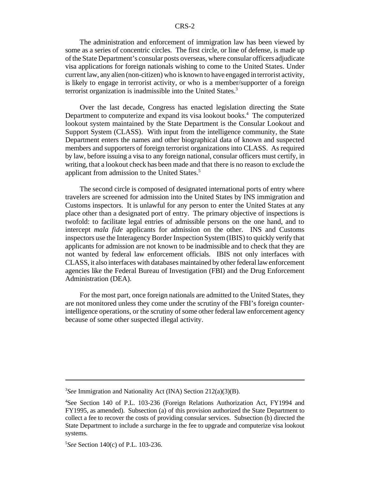The administration and enforcement of immigration law has been viewed by some as a series of concentric circles. The first circle, or line of defense, is made up ofthe State Department's consular posts overseas, where consular officers adjudicate visa applications for foreign nationals wishing to come to the United States. Under current law, any alien (non-citizen) who is known to have engaged in terrorist activity, is likely to engage in terrorist activity, or who is a member/supporter of a foreign terrorist organization is inadmissible into the United States.<sup>3</sup>

Over the last decade, Congress has enacted legislation directing the State Department to computerize and expand its visa lookout books.<sup>4</sup> The computerized lookout system maintained by the State Department is the Consular Lookout and Support System (CLASS). With input from the intelligence community, the State Department enters the names and other biographical data of known and suspected members and supporters of foreign terrorist organizations into CLASS. As required by law, before issuing a visa to any foreign national, consular officers must certify, in writing, that a lookout check has been made and that there is no reason to exclude the applicant from admission to the United States.<sup>5</sup>

The second circle is composed of designated international ports of entry where travelers are screened for admission into the United States by INS immigration and Customs inspectors. It is unlawful for any person to enter the United States at any place other than a designated port of entry. The primary objective of inspections is twofold: to facilitate legal entries of admissible persons on the one hand, and to intercept *mala fide* applicants for admission on the other. INS and Customs inspectors use the Interagency Border Inspection System (IBIS) to quickly verify that applicants for admission are not known to be inadmissible and to check that they are not wanted by federal law enforcement officials. IBIS not only interfaces with CLASS, it also interfaces with databases maintained by other federal law enforcement agencies like the Federal Bureau of Investigation (FBI) and the Drug Enforcement Administration (DEA).

For the most part, once foreign nationals are admitted to the United States, they are not monitored unless they come under the scrutiny of the FBI's foreign counterintelligence operations, or the scrutiny of some other federal law enforcement agency because of some other suspected illegal activity.

<sup>3</sup> *See* Immigration and Nationality Act (INA) Section 212(a)(3)(B).

<sup>4</sup>See Section 140 of P.L. 103-236 (Foreign Relations Authorization Act, FY1994 and FY1995, as amended). Subsection (a) of this provision authorized the State Department to collect a fee to recover the costs of providing consular services. Subsection (b) directed the State Department to include a surcharge in the fee to upgrade and computerize visa lookout systems.

<sup>5</sup> *See* Section 140(c) of P.L. 103-236.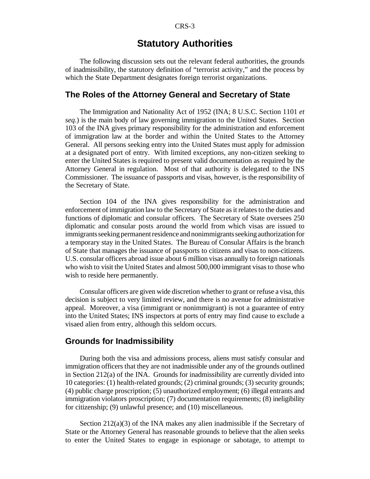## **Statutory Authorities**

The following discussion sets out the relevant federal authorities, the grounds of inadmissibility, the statutory definition of "terrorist activity," and the process by which the State Department designates foreign terrorist organizations.

#### **The Roles of the Attorney General and Secretary of State**

The Immigration and Nationality Act of 1952 (INA; 8 U.S.C. Section 1101 *et seq*.) is the main body of law governing immigration to the United States. Section 103 of the INA gives primary responsibility for the administration and enforcement of immigration law at the border and within the United States to the Attorney General. All persons seeking entry into the United States must apply for admission at a designated port of entry. With limited exceptions, any non-citizen seeking to enter the United States is required to present valid documentation as required by the Attorney General in regulation. Most of that authority is delegated to the INS Commissioner. The issuance of passports and visas, however, is the responsibility of the Secretary of State.

Section 104 of the INA gives responsibility for the administration and enforcement of immigration law to the Secretary of State as it relates to the duties and functions of diplomatic and consular officers. The Secretary of State oversees 250 diplomatic and consular posts around the world from which visas are issued to immigrants seeking permanent residence and nonimmigrants seeking authorization for a temporary stay in the United States. The Bureau of Consular Affairs is the branch of State that manages the issuance of passports to citizens and visas to non-citizens. U.S. consular officers abroad issue about 6 million visas annually to foreign nationals who wish to visit the United States and almost 500,000 immigrant visas to those who wish to reside here permanently.

Consular officers are given wide discretion whether to grant or refuse a visa, this decision is subject to very limited review, and there is no avenue for administrative appeal. Moreover, a visa (immigrant or nonimmigrant) is not a guarantee of entry into the United States; INS inspectors at ports of entry may find cause to exclude a visaed alien from entry, although this seldom occurs.

#### **Grounds for Inadmissibility**

During both the visa and admissions process, aliens must satisfy consular and immigration officers that they are not inadmissible under any of the grounds outlined in Section 212(a) of the INA. Grounds for inadmissibility are currently divided into 10 categories: (1) health-related grounds; (2) criminal grounds; (3) security grounds; (4) public charge proscription; (5) unauthorized employment; (6) illegal entrants and immigration violators proscription; (7) documentation requirements; (8) ineligibility for citizenship; (9) unlawful presence; and (10) miscellaneous.

Section 212(a)(3) of the INA makes any alien inadmissible if the Secretary of State or the Attorney General has reasonable grounds to believe that the alien seeks to enter the United States to engage in espionage or sabotage, to attempt to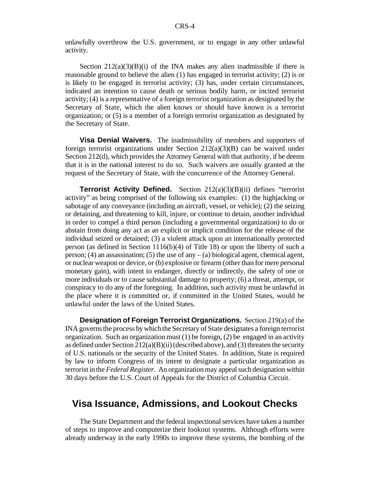unlawfully overthrow the U.S. government, or to engage in any other unlawful activity.

Section  $212(a)(3)(B)(i)$  of the INA makes any alien inadmissible if there is reasonable ground to believe the alien (1) has engaged in terrorist activity; (2) is or is likely to be engaged in terrorist activity; (3) has, under certain circumstances, indicated an intention to cause death or serious bodily harm, or incited terrorist activity; (4) is a representative of a foreign terrorist organization as designated by the Secretary of State, which the alien knows or should have known is a terrorist organization; or (5) is a member of a foreign terrorist organization as designated by the Secretary of State.

**Visa Denial Waivers.** The inadmissibility of members and supporters of foreign terrorist organizations under Section  $212(a)(3)(B)$  can be waived under Section 212(d), which provides the Attorney General with that authority, if he deems that it is in the national interest to do so. Such waivers are usually granted at the request of the Secretary of State, with the concurrence of the Attorney General.

**Terrorist Activity Defined.** Section 212(a)(3)(B)(ii) defines "terrorist activity" as being comprised of the following six examples: (1) the highjacking or sabotage of any conveyance (including an aircraft, vessel, or vehicle); (2) the seizing or detaining, and threatening to kill, injure, or continue to detain, another individual in order to compel a third person (including a governmental organization) to do or abstain from doing any act as an explicit or implicit condition for the release of the individual seized or detained; (3) a violent attack upon an internationally protected person (as defined in Section 1116(b)(4) of Title 18) or upon the liberty of such a person; (4) an assassination; (5) the use of any  $-$  (a) biological agent, chemical agent, or nuclear weapon or device, or (b) explosive or firearm (otherthan for mere personal monetary gain), with intent to endanger, directly or indirectly, the safety of one or more individuals or to cause substantial damage to property; (6) a threat, attempt, or conspiracy to do any of the foregoing. In addition, such activity must be unlawful in the place where it is committed or, if committed in the United States, would be unlawful under the laws of the United States.

**Designation of Foreign Terrorist Organizations.** Section 219(a) of the INA governs the process by which the Secretary of State designates a foreign terrorist organization. Such an organization must  $(1)$  be foreign,  $(2)$  be engaged in an activity as defined under Section  $212(a)(B)(ii)$  (described above), and (3) threaten the security of U.S. nationals or the security of the United States. In addition, State is required by law to inform Congress of its intent to designate a particular organization as terrorist in the *Federal Register*. An organization may appeal such designation within 30 days before the U.S. Court of Appeals for the District of Columbia Circuit.

## **Visa Issuance, Admissions, and Lookout Checks**

The State Department and the federal inspectional services have taken a number of steps to improve and computerize their lookout systems. Although efforts were already underway in the early 1990s to improve these systems, the bombing of the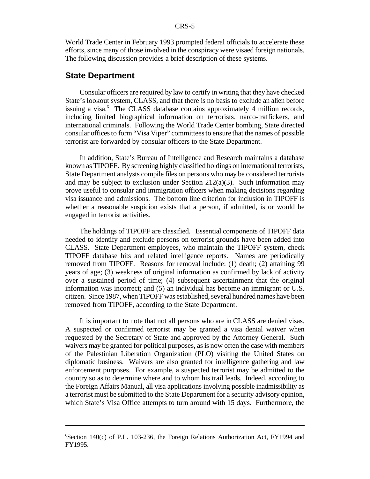World Trade Center in February 1993 prompted federal officials to accelerate these efforts, since many of those involved in the conspiracy were visaed foreign nationals. The following discussion provides a brief description of these systems.

#### **State Department**

Consular officers are required by law to certify in writing that they have checked State's lookout system, CLASS, and that there is no basis to exclude an alien before issuing a visa.<sup>6</sup> The CLASS database contains approximately 4 million records, including limited biographical information on terrorists, narco-traffickers, and international criminals. Following the World Trade Center bombing, State directed consular officesto form "Visa Viper" committeesto ensure that the names of possible terrorist are forwarded by consular officers to the State Department.

In addition, State's Bureau of Intelligence and Research maintains a database known as TIPOFF. By screening highly classified holdings on international terrorists, State Department analysts compile files on persons who may be considered terrorists and may be subject to exclusion under Section  $212(a)(3)$ . Such information may prove useful to consular and immigration officers when making decisions regarding visa issuance and admissions. The bottom line criterion for inclusion in TIPOFF is whether a reasonable suspicion exists that a person, if admitted, is or would be engaged in terrorist activities.

The holdings of TIPOFF are classified. Essential components of TIPOFF data needed to identify and exclude persons on terrorist grounds have been added into CLASS. State Department employees, who maintain the TIPOFF system, check TIPOFF database hits and related intelligence reports. Names are periodically removed from TIPOFF. Reasons for removal include: (1) death; (2) attaining 99 years of age; (3) weakness of original information as confirmed by lack of activity over a sustained period of time; (4) subsequent ascertainment that the original information was incorrect; and (5) an individual has become an immigrant or U.S. citizen. Since 1987, when TIPOFF was established, several hundred names have been removed from TIPOFF, according to the State Department.

It is important to note that not all persons who are in CLASS are denied visas. A suspected or confirmed terrorist may be granted a visa denial waiver when requested by the Secretary of State and approved by the Attorney General. Such waivers may be granted for political purposes, as is now often the case with members of the Palestinian Liberation Organization (PLO) visiting the United States on diplomatic business. Waivers are also granted for intelligence gathering and law enforcement purposes. For example, a suspected terrorist may be admitted to the country so as to determine where and to whom his trail leads. Indeed, according to the Foreign Affairs Manual, all visa applications involving possible inadmissibility as a terrorist must be submitted to the State Department for a security advisory opinion, which State's Visa Office attempts to turn around with 15 days. Furthermore, the

 $6$ Section 140(c) of P.L. 103-236, the Foreign Relations Authorization Act, FY1994 and FY1995.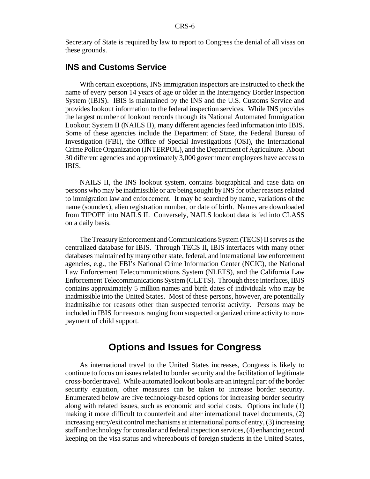Secretary of State is required by law to report to Congress the denial of all visas on these grounds.

#### **INS and Customs Service**

With certain exceptions, INS immigration inspectors are instructed to check the name of every person 14 years of age or older in the Interagency Border Inspection System (IBIS). IBIS is maintained by the INS and the U.S. Customs Service and provides lookout information to the federal inspection services. While INS provides the largest number of lookout records through its National Automated Immigration Lookout System II (NAILS II), many different agencies feed information into IBIS. Some of these agencies include the Department of State, the Federal Bureau of Investigation (FBI), the Office of Special Investigations (OSI), the International Crime Police Organization (INTERPOL), and the Department of Agriculture. About 30 different agencies and approximately 3,000 government employees have accessto IBIS.

NAILS II, the INS lookout system, contains biographical and case data on persons who may be inadmissible or are being sought by INS for other reasonsrelated to immigration law and enforcement. It may be searched by name, variations of the name (soundex), alien registration number, or date of birth. Names are downloaded from TIPOFF into NAILS II. Conversely, NAILS lookout data is fed into CLASS on a daily basis.

The Treasury Enforcement and Communications System (TECS) II serves as the centralized database for IBIS. Through TECS II, IBIS interfaces with many other databases maintained by many other state, federal, and international law enforcement agencies, e.g., the FBI's National Crime Information Center (NCIC), the National Law Enforcement Telecommunications System (NLETS), and the California Law Enforcement Telecommunications System (CLETS). Through these interfaces, IBIS contains approximately 5 million names and birth dates of individuals who may be inadmissible into the United States. Most of these persons, however, are potentially inadmissible for reasons other than suspected terrorist activity. Persons may be included in IBIS for reasons ranging from suspected organized crime activity to nonpayment of child support.

## **Options and Issues for Congress**

As international travel to the United States increases, Congress is likely to continue to focus on issues related to border security and the facilitation of legitimate cross-bordertravel. While automated lookout books are an integral part of the border security equation, other measures can be taken to increase border security. Enumerated below are five technology-based options for increasing border security along with related issues, such as economic and social costs. Options include (1) making it more difficult to counterfeit and alter international travel documents, (2) increasing entry/exit control mechanisms at international ports of entry, (3) increasing staff and technology for consular and federal inspection services,(4) enhancing record keeping on the visa status and whereabouts of foreign students in the United States,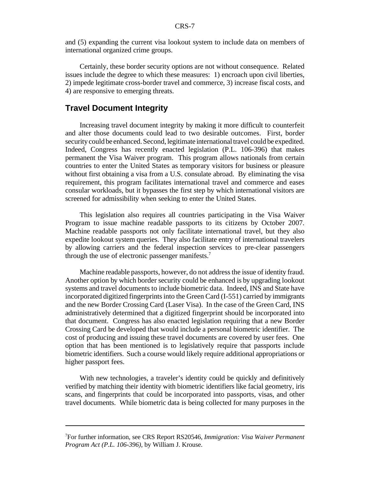and (5) expanding the current visa lookout system to include data on members of international organized crime groups.

Certainly, these border security options are not without consequence. Related issues include the degree to which these measures: 1) encroach upon civil liberties, 2) impede legitimate cross-border travel and commerce, 3) increase fiscal costs, and 4) are responsive to emerging threats.

#### **Travel Document Integrity**

Increasing travel document integrity by making it more difficult to counterfeit and alter those documents could lead to two desirable outcomes. First, border security could be enhanced. Second, legitimate international travel could be expedited. Indeed, Congress has recently enacted legislation (P.L. 106-396) that makes permanent the Visa Waiver program. This program allows nationals from certain countries to enter the United States as temporary visitors for business or pleasure without first obtaining a visa from a U.S. consulate abroad. By eliminating the visa requirement, this program facilitates international travel and commerce and eases consular workloads, but it bypasses the first step by which international visitors are screened for admissibility when seeking to enter the United States.

This legislation also requires all countries participating in the Visa Waiver Program to issue machine readable passports to its citizens by October 2007. Machine readable passports not only facilitate international travel, but they also expedite lookout system queries. They also facilitate entry of international travelers by allowing carriers and the federal inspection services to pre-clear passengers through the use of electronic passenger manifests.<sup>7</sup>

Machine readable passports, however, do not address the issue of identity fraud. Another option by which border security could be enhanced is by upgrading lookout systems and travel documents to include biometric data. Indeed, INS and State have incorporated digitized fingerprintsinto the Green Card (I-551) carried by immigrants and the new Border Crossing Card (Laser Visa). In the case of the Green Card, INS administratively determined that a digitized fingerprint should be incorporated into that document. Congress has also enacted legislation requiring that a new Border Crossing Card be developed that would include a personal biometric identifier. The cost of producing and issuing these travel documents are covered by user fees. One option that has been mentioned is to legislatively require that passports include biometric identifiers. Such a course would likely require additional appropriations or higher passport fees.

With new technologies, a traveler's identity could be quickly and definitively verified by matching their identity with biometric identifiers like facial geometry, iris scans, and fingerprints that could be incorporated into passports, visas, and other travel documents. While biometric data is being collected for many purposes in the

<sup>7</sup>For further information, see CRS Report RS20546, *Immigration: Visa Waiver Permanent Program Act (P.L. 106-396)*, by William J. Krouse.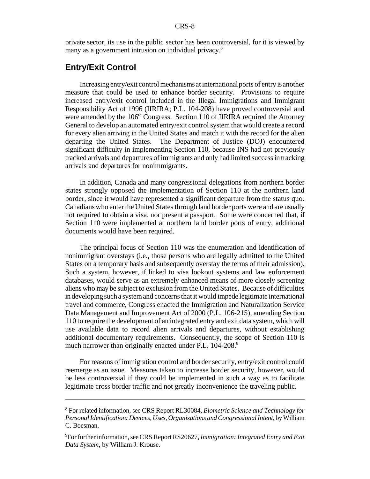private sector, its use in the public sector has been controversial, for it is viewed by many as a government intrusion on individual privacy.<sup>8</sup>

#### **Entry/Exit Control**

Increasing entry/exit control mechanisms at international ports of entry is another measure that could be used to enhance border security. Provisions to require increased entry/exit control included in the Illegal Immigrations and Immigrant Responsibility Act of 1996 (IIRIRA; P.L. 104-208) have proved controversial and were amended by the  $106<sup>th</sup>$  Congress. Section 110 of IIRIRA required the Attorney General to develop an automated entry/exit control system that would create a record for every alien arriving in the United States and match it with the record for the alien departing the United States. The Department of Justice (DOJ) encountered significant difficulty in implementing Section 110, because INS had not previously tracked arrivals and departures of immigrants and only had limited successin tracking arrivals and departures for nonimmigrants.

In addition, Canada and many congressional delegations from northern border states strongly opposed the implementation of Section 110 at the northern land border, since it would have represented a significant departure from the status quo. Canadians who enter the United States through land border ports were and are usually not required to obtain a visa, nor present a passport. Some were concerned that, if Section 110 were implemented at northern land border ports of entry, additional documents would have been required.

The principal focus of Section 110 was the enumeration and identification of nonimmigrant overstays (i.e., those persons who are legally admitted to the United States on a temporary basis and subsequently overstay the terms of their admission). Such a system, however, if linked to visa lookout systems and law enforcement databases, would serve as an extremely enhanced means of more closely screening aliens who may be subject to exclusion from the United States. Because of difficulties in developing such a systemand concernsthat it would impede legitimate international travel and commerce, Congress enacted the Immigration and Naturalization Service Data Management and Improvement Act of 2000 (P.L. 106-215), amending Section 110 to require the development of an integrated entry and exit data system, which will use available data to record alien arrivals and departures, without establishing additional documentary requirements. Consequently, the scope of Section 110 is much narrower than originally enacted under P.L. 104-208.<sup>9</sup>

For reasons of immigration control and border security, entry/exit control could reemerge as an issue. Measures taken to increase border security, however, would be less controversial if they could be implemented in such a way as to facilitate legitimate cross border traffic and not greatly inconvenience the traveling public.

<sup>8</sup> For related information, see CRS Report RL30084, *Biometric Science and Technology for PersonalIdentification: Devices, Uses, Organizations and Congressional Intent*, by William C. Boesman.

<sup>9</sup>For further information,seeCRS Report RS20627, *Immigration: Integrated Entry and Exit Data System*, by William J. Krouse.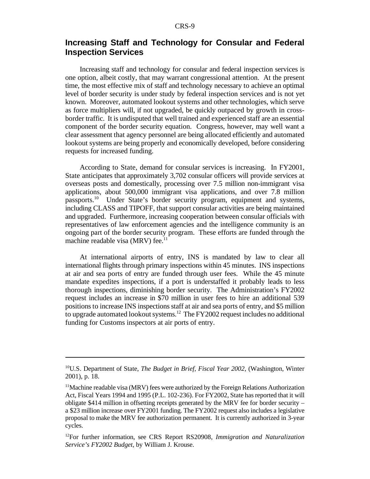## **Increasing Staff and Technology for Consular and Federal Inspection Services**

Increasing staff and technology for consular and federal inspection services is one option, albeit costly, that may warrant congressional attention. At the present time, the most effective mix of staff and technology necessary to achieve an optimal level of border security is under study by federal inspection services and is not yet known. Moreover, automated lookout systems and other technologies, which serve as force multipliers will, if not upgraded, be quickly outpaced by growth in crossborder traffic. It is undisputed that well trained and experienced staff are an essential component of the border security equation. Congress, however, may well want a clear assessment that agency personnel are being allocated efficiently and automated lookout systems are being properly and economically developed, before considering requests for increased funding.

According to State, demand for consular services is increasing. In FY2001, State anticipates that approximately 3,702 consular officers will provide services at overseas posts and domestically, processing over 7.5 million non-immigrant visa applications, about 500,000 immigrant visa applications, and over 7.8 million passports.<sup>10</sup> Under State's border security program, equipment and systems, including CLASS and TIPOFF, that support consular activities are being maintained and upgraded. Furthermore, increasing cooperation between consular officials with representatives of law enforcement agencies and the intelligence community is an ongoing part of the border security program. These efforts are funded through the machine readable visa (MRV) fee. $11$ 

At international airports of entry, INS is mandated by law to clear all international flights through primary inspections within 45 minutes. INS inspections at air and sea ports of entry are funded through user fees. While the 45 minute mandate expedites inspections, if a port is understaffed it probably leads to less thorough inspections, diminishing border security. The Administration's FY2002 request includes an increase in \$70 million in user fees to hire an additional 539 positions to increase INS inspections staff at air and sea ports of entry, and \$5 million to upgrade automated lookout systems.<sup>12</sup> The  $FY2002$  request includes no additional funding for Customs inspectors at air ports of entry.

<sup>10</sup>U.S. Department of State, *The Budget in Brief, Fiscal Year 2002*, (Washington, Winter 2001), p. 18.

<sup>&</sup>lt;sup>11</sup>Machine readable visa (MRV) fees were authorized by the Foreign Relations Authorization Act, Fiscal Years 1994 and 1995 (P.L. 102-236). For FY2002, State hasreported that it will obligate \$414 million in offsetting receipts generated by the MRV fee for border security – a \$23 million increase over FY2001 funding. The FY2002 request also includes a legislative proposal to make the MRV fee authorization permanent. It is currently authorized in 3-year cycles.

<sup>12</sup>For further information, see CRS Report RS20908, *Immigration and Naturalization Service's FY2002 Budget*, by William J. Krouse.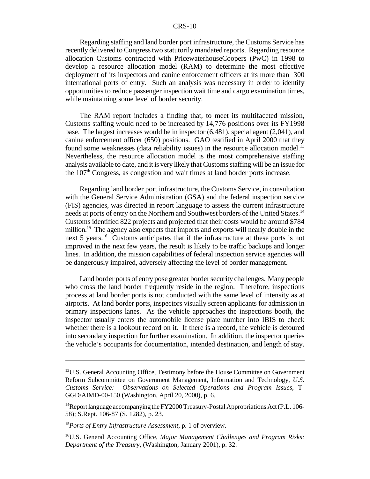#### CRS-10

Regarding staffing and land border port infrastructure, the Customs Service has recently delivered to Congresstwo statutorily mandated reports. Regarding resource allocation Customs contracted with PricewaterhouseCoopers (PwC) in 1998 to develop a resource allocation model (RAM) to determine the most effective deployment of its inspectors and canine enforcement officers at its more than 300 international ports of entry. Such an analysis was necessary in order to identify opportunities to reduce passenger inspection wait time and cargo examination times, while maintaining some level of border security.

The RAM report includes a finding that, to meet its multifaceted mission, Customs staffing would need to be increased by 14,776 positions over its FY1998 base. The largest increases would be in inspector (6,481), special agent (2,041), and canine enforcement officer (650) positions. GAO testified in April 2000 that they found some weaknesses (data reliability issues) in the resource allocation model.<sup>13</sup> Nevertheless, the resource allocation model is the most comprehensive staffing analysis available to date, and it is very likely that Customs staffing will be an issue for the  $107<sup>th</sup>$  Congress, as congestion and wait times at land border ports increase.

Regarding land border port infrastructure, the Customs Service, in consultation with the General Service Administration (GSA) and the federal inspection service (FIS) agencies, was directed in report language to assess the current infrastructure needs at ports of entry on the Northern and Southwest borders of the United States.<sup>14</sup> Customs identified 822 projects and projected that their costs would be around \$784 million.<sup>15</sup> The agency also expects that imports and exports will nearly double in the next 5 years.<sup>16</sup> Customs anticipates that if the infrastructure at these ports is not improved in the next few years, the result is likely to be traffic backups and longer lines. In addition, the mission capabilities of federal inspection service agencies will be dangerously impaired, adversely affecting the level of border management.

Land border ports of entry pose greater border security challenges. Many people who cross the land border frequently reside in the region. Therefore, inspections process at land border ports is not conducted with the same level of intensity as at airports. At land border ports, inspectors visually screen applicants for admission in primary inspections lanes. As the vehicle approaches the inspections booth, the inspector usually enters the automobile license plate number into IBIS to check whether there is a lookout record on it. If there is a record, the vehicle is detoured into secondary inspection for further examination. In addition, the inspector queries the vehicle's occupants for documentation, intended destination, and length of stay.

<sup>&</sup>lt;sup>13</sup>U.S. General Accounting Office, Testimony before the House Committee on Government Reform Subcommittee on Government Management, Information and Technology, *U.S. Customs Service: Observations on Selected Operations and Program Issues*, T-GGD/AIMD-00-150 (Washington, April 20, 2000), p. 6.

<sup>&</sup>lt;sup>14</sup>Report language accompanying the FY2000 Treasury-Postal Appropriations Act (P.L. 106-58); S.Rept. 106-87 (S. 1282), p. 23.

<sup>15</sup>*Ports of Entry Infrastructure Assessment*, p. 1 of overview.

<sup>16</sup>U.S. General Accounting Office, *Major Management Challenges and Program Risks: Department of the Treasury*, (Washington, January 2001), p. 32.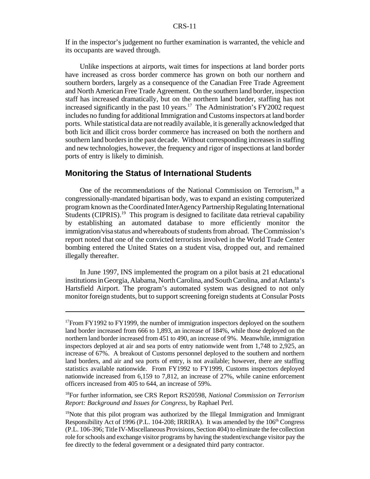If in the inspector's judgement no further examination is warranted, the vehicle and its occupants are waved through.

Unlike inspections at airports, wait times for inspections at land border ports have increased as cross border commerce has grown on both our northern and southern borders, largely as a consequence of the Canadian Free Trade Agreement and North American Free Trade Agreement. On the southern land border, inspection staff has increased dramatically, but on the northern land border, staffing has not increased significantly in the past 10 years.<sup>17</sup> The Administration's FY2002 request includes no funding for additional Immigration and Customsinspectors at land border ports. While statistical data are not readily available, it is generally acknowledged that both licit and illicit cross border commerce has increased on both the northern and southern land borders in the past decade. Without corresponding increases in staffing and new technologies, however, the frequency and rigor of inspections at land border ports of entry is likely to diminish.

#### **Monitoring the Status of International Students**

One of the recommendations of the National Commission on Terrorism,<sup>18</sup> a congressionally-mandated bipartisan body, was to expand an existing computerized program known astheCoordinated InterAgencyPartnershipRegulating International Students (CIPRIS).<sup>19</sup> This program is designed to facilitate data retrieval capability by establishing an automated database to more efficiently monitor the immigration/visa status and whereabouts of students from abroad. The Commission's report noted that one of the convicted terrorists involved in the World Trade Center bombing entered the United States on a student visa, dropped out, and remained illegally thereafter.

In June 1997, INS implemented the program on a pilot basis at 21 educational institutions in Georgia, Alabama, North Carolina, and South Carolina, and at Atlanta's Hartsfield Airport. The program's automated system was designed to not only monitor foreign students, but to support screening foreign students at Consular Posts

<sup>&</sup>lt;sup>17</sup>From FY1992 to FY1999, the number of immigration inspectors deployed on the southern land border increased from 666 to 1,893, an increase of 184%, while those deployed on the northern land border increased from 451 to 490, an increase of 9%. Meanwhile, immigration inspectors deployed at air and sea ports of entry nationwide went from 1,748 to 2,925, an increase of 67%. A breakout of Customs personnel deployed to the southern and northern land borders, and air and sea ports of entry, is not available; however, there are staffing statistics available nationwide. From FY1992 to FY1999, Customs inspectors deployed nationwide increased from 6,159 to 7,812, an increase of 27%, while canine enforcement officers increased from 405 to 644, an increase of 59%.

<sup>18</sup>For further information, see CRS Report RS20598, *National Commission on Terrorism Report: Background and Issues for Congress*, by Raphael Perl.

 $19$ Note that this pilot program was authorized by the Illegal Immigration and Immigrant Responsibility Act of 1996 (P.L. 104-208; IRRIRA). It was amended by the 106th Congress (P.L. 106-396; Title IV-Miscellaneous Provisions, Section 404) to eliminate the fee collection role forschools and exchange visitor programs by having the student/exchange visitor pay the fee directly to the federal government or a designated third party contractor.